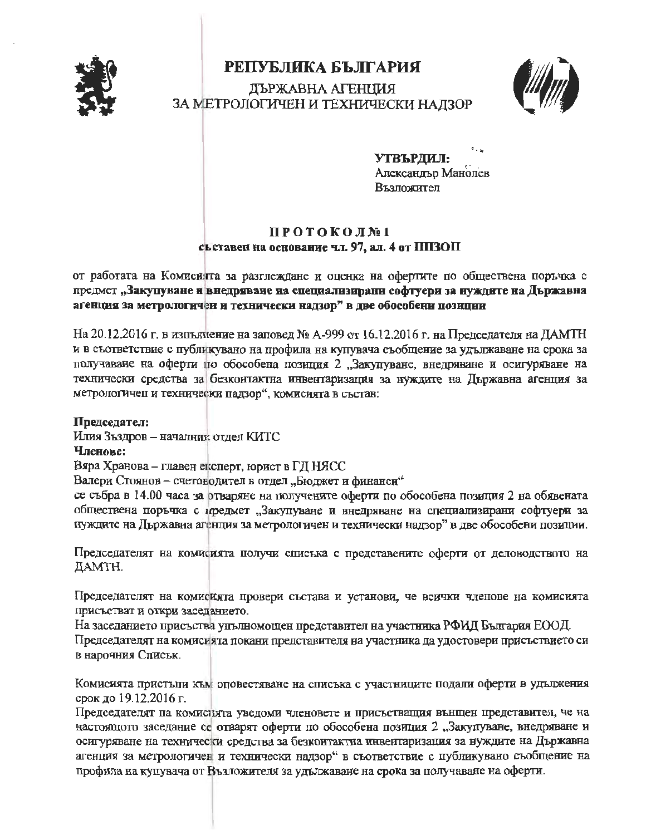

## РЕПУБЛИКА БЪЛГАРИЯ ЛЪРЖАВНА АГЕНЦИЯ ЗА МЕТРОЛОГИЧЕН И ТЕХНИЧЕСКИ НАДЗОР



УТВЪРДИЛ: Александър Манолев Възложител

## ПРОТОКОЛ№1 сьставен на основание чл. 97, ал. 4 от ППЗОП

от работата на Комисията за разглеждане и оценка на офертите по обществена поръчка с предмет "Закупуване и внедряване на специализирани софтуери за нуждите на Държавна агенция за метрологичен и технически надзор" в две обособени позиции

На 20.12.2016 г. в изпълнение на заповед № А-999 от 16.12.2016 г. на Председателя на ДАМТН и в съответствие с публикувано на профила на купувача съобщение за удължаване на срока за получаване на оферти по обособена позиция 2 "Закупуване, внедряване и осигуряване на технически средства за безконтактна инвентаризация за нуждите на Държавна агенция за метрологичен и технически падзор", комисията в състав:

Председател:

Илия Зъздров - началник отдел КИТС

Членове:

Вяра Хранова - главен експерт, юрист в ГД НЯСС

Валери Стоянов - счетоводител в отдел "Бюджет и финанси"

се събра в 14.00 часа за отваряне на получените оферти по обособена позиция 2 на обявената обществена поръчка с предмет "Закупуване и внедряване на специализирани софтуери за нуждите на Държавна агенция за метрологичен и технически надзор" в две обособени позиции.

Председателят на комисията получи списъка с представените оферти от деловодството на ДАМТН.

Председателят на комисията провери състава и установи, че всички членове на комисията присъстват и откри заседанието.

На заседанието присъства упълномощен представител на участника РФИД България ЕООД. Председателят на комисия та покани представителя на участника да удостовери присъствието си в нарочния Списък.

Комисията пристъпи към оповестяване на списъка с участниците подали оферти в удължения срок до 19.12.2016 г.

Председателят на комистита уведоми членовете и присъстващия вънщен представител, че на настоящото заседание се отварят оферти по обособена позиция 2 "Закупуване, внедряване и осигуряване на технически средства за безконтактна инвентаризация за нуждите на Държавна агенция за метрологичен и технически надзор" в съответствие с публикувано съобщение на профила на купувача от Възложителя за удължаване на срока за получаване на оферти.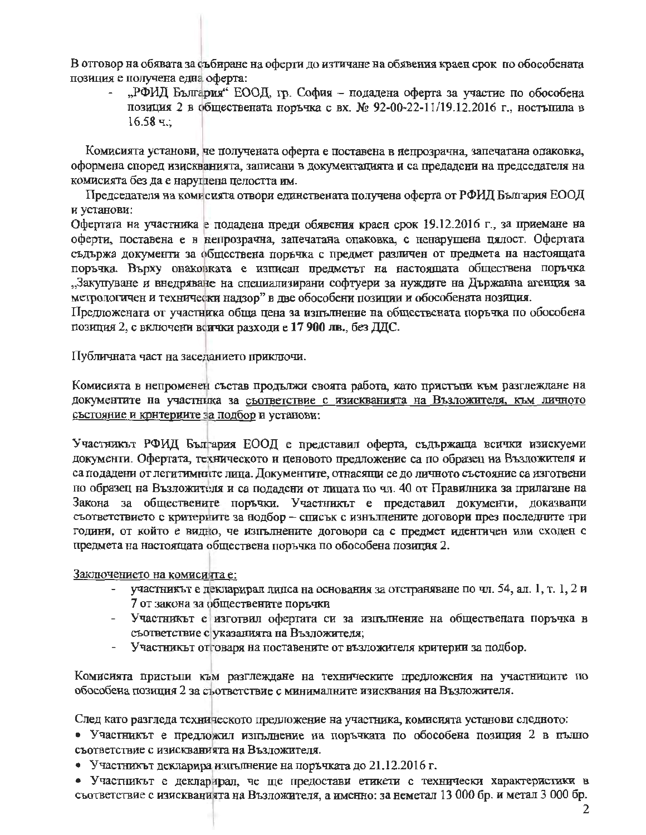В отговор на обявата за събиране на оферти до изтичане на обявения краен срок по обособената позиция е получена една оферта:

"РФИД България" ЕООД, гр. София – подадена оферта за участие по обособена позиция 2 в обществената норъчка с вх. № 92-00-22-11/19.12.2016 г., ностъпила в  $16.58$  ч.:

Комисията установи, че получената оферта е поставена в непрозрачна, запечатана опаковка, оформена според изискванията, записани в документацията и са предадени на председателя на комисията без да е наруглена целостта им.

Председателя на комисията отвори единствената получена оферта от РФИД България ЕООД и установи:

Офертата на участника е подадена преди обявения краен срок 19.12.2016 г., за приемане на оферти, поставена е в непрозрачна, запечатана опаковка, с ненарушена пялост. Офертата съдържа документи за обществена поръчка с предмет различен от предмета на настоящата поръчка. Върху онаковката е изписан предметът на настоящата обществена поръчка "Закупуване и внедряване на специализирани софтуери за нуждите на Държавна агенция за метрологичен и технически надзор" в две обособени позиции и обособената нозиция.

Предложената от участника обща цена за изпълнение на обществената поръчка по обособена позиция 2, с включени всички разходи е 17 900 лв., без ДДС.

Публичната част на заседанието приключи.

Комисията в непроменен състав продължи своята работа, като пристъпи към разглеждане на документите на участника за съответствие с изискванията на Възложителя, към личното състояние и крнтериите за подбор и установи:

Участникът РФИД България ЕООД е представил оферта, съдържаща всички изискуеми документи. Офертата, техническото и ценовото предложение са по образец на Възложителя и са подадени от легитимните лица. Документите, отнасящи се до личното състояние са изготвени но образец на Възложителя и са подадени от лицата по чл. 40 от Правилника за прилагане на Закона за обществените поръчки. Участникът е представил документи, доказващи съответствието с критериите за нодбор - списък с изнълнените договори през последните три години, от който е видно, че изпълнените договори са с предмет идентичен или сходен с предмета на настоящата обществена поръчка по обособена позиция 2.

Заключението на комиситта е:

- участникът е декларирал липса на основания за отстраняване по чл. 54, ал. 1, т. 1, 2 и 7 от закона за обществените поръчки
- Участникът е изготвил офертата си за изпълнение на обществената поръчка в съответствие с указанията на Възложителя;
- Участникът отговаря на поставените от възложителя критерии за подбор.

Комисията пристыпи към разглеждане на техническите предложения на участниците по обособена позиция 2 за съответствие с минималните изисквания на Възложителя.

След като разгледа техническото предложение на участника, комисията установи следното:

• Участникът е предложил изпълнение на поръчката по обособена позиция 2 в пълно съответствие с изискванията на Възложителя.

• Участникът декларира изпълнение на поръчката до 21.12.2016 г.

• Участникът е декларирал, че ще предостави етикети с технически характеристики в съответствие с изискванията на Възложителя, а именно: за неметал 13 000 бр. и метал 3 000 бр.